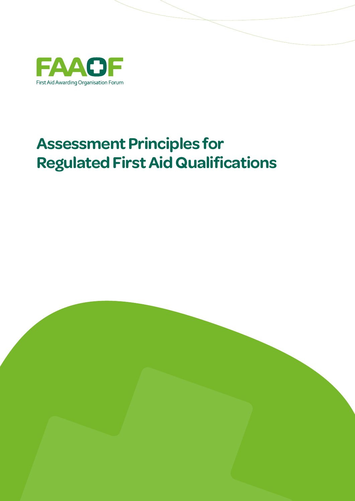

# **Assessment Principles for Regulated First Aid Qualifications**

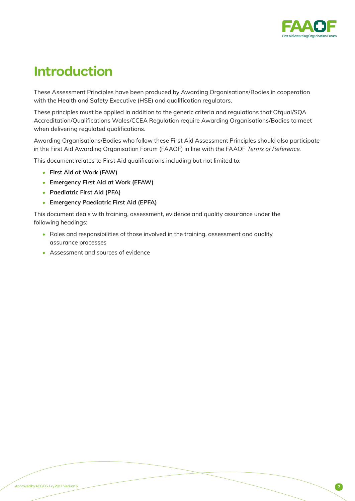

## **Introduction**

These Assessment Principles have been produced by Awarding Organisations/Bodies in cooperation with the Health and Safety Executive (HSE) and qualification regulators.

These principles must be applied in addition to the generic criteria and regulations that Ofqual/SQA Accreditation/Qualifications Wales/CCEA Regulation require Awarding Organisations/Bodies to meet when delivering regulated qualifications.

Awarding Organisations/Bodies who follow these First Aid Assessment Principles should also participate in the First Aid Awarding Organisation Forum (FAAOF) in line with the FAAOF *Terms of Reference*.

This document relates to First Aid qualifications including but not limited to:

- **• First Aid at Work (FAW)**
- **• Emergency First Aid at Work (EFAW)**
- **• Paediatric First Aid (PFA)**
- **• Emergency Paediatric First Aid (EPFA)**

This document deals with training, assessment, evidence and quality assurance under the following headings:

- Roles and responsibilities of those involved in the training, assessment and quality assurance processes
- Assessment and sources of evidence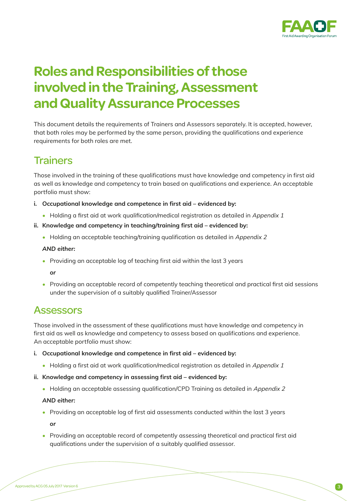

## **Roles and Responsibilities of those involved in the Training, Assessment and Quality Assurance Processes**

This document details the requirements of Trainers and Assessors separately. It is accepted, however, that both roles may be performed by the same person, providing the qualifications and experience requirements for both roles are met.

### **Trainers**

Those involved in the training of these qualifications must have knowledge and competency in first aid as well as knowledge and competency to train based on qualifications and experience. An acceptable portfolio must show:

**i. Occupational knowledge and competence in first aid – evidenced by:**

• Holding a first aid at work qualification/medical registration as detailed in Appendix 1

#### **ii. Knowledge and competency in teaching/training first aid – evidenced by:**

• Holding an acceptable teaching/training qualification as detailed in Appendix 2

#### *AND either:*

- Providing an acceptable log of teaching first aid within the last 3 years
	- *or*
- Providing an acceptable record of competently teaching theoretical and practical first aid sessions under the supervision of a suitably qualified Trainer/Assessor

### **Assessors**

Those involved in the assessment of these qualifications must have knowledge and competency in first aid as well as knowledge and competency to assess based on qualifications and experience. An acceptable portfolio must show:

- **i. Occupational knowledge and competence in first aid evidenced by:**
	- Holding a first aid at work qualification/medical registration as detailed in *Appendix 1*
- **ii. Knowledge and competency in assessing first aid evidenced by:**
	- Holding an acceptable assessing qualification/CPD Training as detailed in *Appendix 2*

#### *AND either:*

• Providing an acceptable log of first aid assessments conducted within the last 3 years

*or*

• Providing an acceptable record of competently assessing theoretical and practical first aid qualifications under the supervision of a suitably qualified assessor.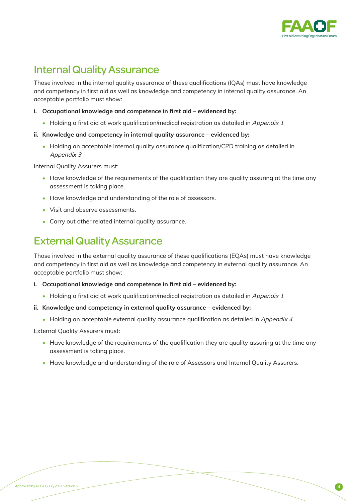

### Internal Quality Assurance

Those involved in the internal quality assurance of these qualifications (IQAs) must have knowledge and competency in first aid as well as knowledge and competency in internal quality assurance. An acceptable portfolio must show:

- **i. Occupational knowledge and competence in first aid evidenced by:**
	- Holding a first aid at work qualification/medical registration as detailed in *Appendix 1*
- **ii. Knowledge and competency in internal quality assurance evidenced by:**
	- Holding an acceptable internal quality assurance qualification/CPD training as detailed in *Appendix 3*

Internal Quality Assurers must:

- Have knowledge of the requirements of the qualification they are quality assuring at the time any assessment is taking place.
- Have knowledge and understanding of the role of assessors.
- Visit and observe assessments.
- Carry out other related internal quality assurance.

### External Quality Assurance

Those involved in the external quality assurance of these qualifications (EQAs) must have knowledge and competency in first aid as well as knowledge and competency in external quality assurance. An acceptable portfolio must show:

#### **i. Occupational knowledge and competence in first aid – evidenced by:**

- Holding a first aid at work qualification/medical registration as detailed in *Appendix 1*
- **ii. Knowledge and competency in external quality assurance evidenced by:**
	- Holding an acceptable external quality assurance qualification as detailed in *Appendix 4*

External Quality Assurers must:

- Have knowledge of the requirements of the qualification they are quality assuring at the time any assessment is taking place.
- Have knowledge and understanding of the role of Assessors and Internal Quality Assurers.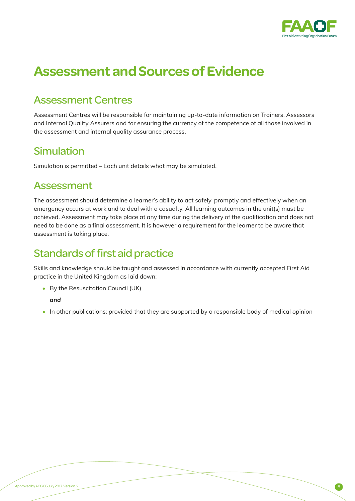

# **Assessment and Sources of Evidence**

### Assessment Centres

Assessment Centres will be responsible for maintaining up-to-date information on Trainers, Assessors and Internal Quality Assurers and for ensuring the currency of the competence of all those involved in the assessment and internal quality assurance process.

### Simulation

Simulation is permitted – Each unit details what may be simulated.

### Assessment

The assessment should determine a learner's ability to act safely, promptly and effectively when an emergency occurs at work and to deal with a casualty. All learning outcomes in the unit(s) must be achieved. Assessment may take place at any time during the delivery of the qualification and does not need to be done as a final assessment. It is however a requirement for the learner to be aware that assessment is taking place.

### Standards of first aid practice

Skills and knowledge should be taught and assessed in accordance with currently accepted First Aid practice in the United Kingdom as laid down:

• By the Resuscitation Council (UK)

 *and*

• In other publications; provided that they are supported by a responsible body of medical opinion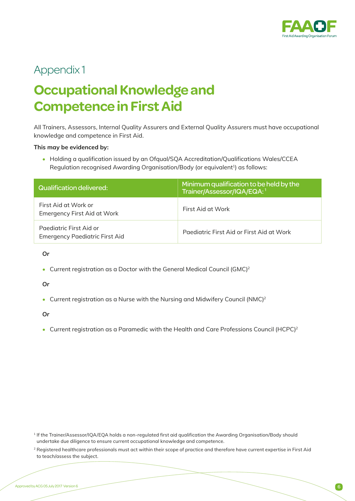

### Appendix 1

# **Occupational Knowledge and Competence in First Aid**

All Trainers, Assessors, Internal Quality Assurers and External Quality Assurers must have occupational knowledge and competence in First Aid.

#### **This may be evidenced by:**

• Holding a qualification issued by an Ofqual/SQA Accreditation/Qualifications Wales/CCEA Regulation recognised Awarding Organisation/Body (or equivalent<sup>1</sup>) as follows:

| Qualification delivered:                                         | Minimum qualification to be held by the<br>Trainer/Assessor/IQA/EQA: <sup>1</sup> |
|------------------------------------------------------------------|-----------------------------------------------------------------------------------|
| First Aid at Work or<br><b>Emergency First Aid at Work</b>       | First Aid at Work                                                                 |
| Paediatric First Aid or<br><b>Emergency Paediatric First Aid</b> | Paediatric First Aid or First Aid at Work                                         |

*Or*

• Current registration as a Doctor with the General Medical Council (GMC)<sup>2</sup>

*Or*

• Current registration as a Nurse with the Nursing and Midwifery Council (NMC)<sup>2</sup>

*Or*

• Current registration as a Paramedic with the Health and Care Professions Council (HCPC)<sup>2</sup>

<sup>1</sup> If the Trainer/Assessor/IQA/EQA holds a non-regulated first aid qualification the Awarding Organisation/Body should undertake due diligence to ensure current occupational knowledge and competence.

<sup>&</sup>lt;sup>2</sup> Registered healthcare professionals must act within their scope of practice and therefore have current expertise in First Aid to teach/assess the subject.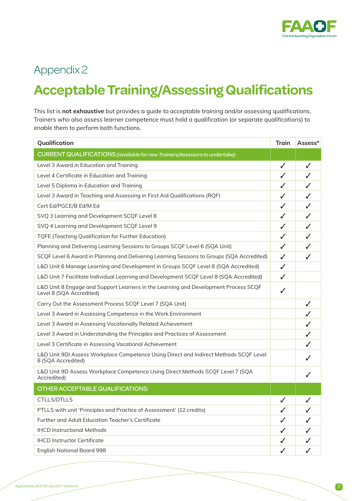

## Appendix 2

# **Acceptable Training/Assessing Qualifications**

This list is **not exhaustive** but provides a guide to acceptable training and/or assessing qualifications. Trainers who also assess learner competence must hold a qualification (or separate qualifications) to enable them to perform both functions.

| Qualification                                                                                                   | <b>Train</b> | Assess*      |
|-----------------------------------------------------------------------------------------------------------------|--------------|--------------|
| CURRENT QUALIFICATIONS (available for new Trainers/Assessors to undertake):                                     |              |              |
| Level 3 Award in Education and Training                                                                         | ✓            | $\checkmark$ |
| Level 4 Certificate in Education and Training                                                                   | ✓            | ✓            |
| Level 5 Diploma in Education and Training                                                                       | ✓            | J            |
| Level 3 Award in Teaching and Assessing in First Aid Qualifications (RQF)                                       | ✓            | ✓            |
| Cert Ed/PGCE/B Ed/M Ed                                                                                          | ✓            | ✓            |
| SVQ 3 Learning and Development SCQF Level 8                                                                     | J            | ✓            |
| SVQ 4 Learning and Development SCQF Level 9                                                                     | ✓            | $\checkmark$ |
| <b>TQFE (Teaching Qualification for Further Education)</b>                                                      | ✓            | ✓            |
| Planning and Delivering Learning Sessions to Groups SCQF Level 6 (SQA Unit)                                     | ✓            | ✓            |
| SCQF Level 6 Award in Planning and Delivering Learning Sessions to Groups (SQA Accredited)                      | ✓            |              |
| L&D Unit 6 Manage Learning and Development in Groups SCQF Level 8 (SQA Accredited)                              | ✓            |              |
| L&D Unit 7 Facilitate Individual Learning and Development SCQF Level 8 (SQA Accredited)                         | ✓            |              |
| L&D Unit 8 Engage and Support Learners in the Learning and Development Process SCQF<br>Level 8 (SQA Accredited) | J            |              |
| Carry Out the Assessment Process SCQF Level 7 (SQA Unit)                                                        |              | ✓            |
| Level 3 Award in Assessing Competence in the Work Environment                                                   |              |              |
| Level 3 Award in Assessing Vocationally Related Achievement                                                     |              |              |
| Level 3 Award in Understanding the Principles and Practices of Assessment                                       |              |              |
| Level 3 Certificate in Assessing Vocational Achievement                                                         |              |              |
| L&D Unit 9DI Assess Workplace Competence Using Direct and Indirect Methods SCQF Level<br>8 (SQA Accredited)     |              |              |
| L&D Unit 9D Assess Workplace Competence Using Direct Methods SCQF Level 7 (SQA<br>Accredited)                   |              |              |
| OTHER ACCEPTABLE QUALIFICATIONS:                                                                                |              |              |
| <b>CTLLS/DTLLS</b>                                                                                              | ✓            |              |
| PTLLS with unit 'Principles and Practice of Assessment' (12 credits)                                            | ✓            |              |
| Further and Adult Education Teacher's Certificate                                                               |              |              |
| <b>IHCD Instructional Methods</b>                                                                               |              |              |
| <b>IHCD Instructor Certificate</b>                                                                              | ✓            |              |
| <b>English National Board 998</b>                                                                               | ✓            |              |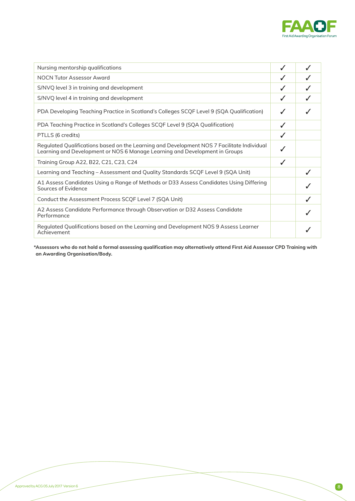

| Nursing mentorship qualifications                                                                                                                                         | ✓ |  |
|---------------------------------------------------------------------------------------------------------------------------------------------------------------------------|---|--|
| <b>NOCN Tutor Assessor Award</b>                                                                                                                                          |   |  |
| S/NVQ level 3 in training and development                                                                                                                                 |   |  |
| S/NVQ level 4 in training and development                                                                                                                                 |   |  |
| PDA Developing Teaching Practice in Scotland's Colleges SCQF Level 9 (SQA Qualification)                                                                                  |   |  |
| PDA Teaching Practice in Scotland's Colleges SCQF Level 9 (SQA Qualification)                                                                                             |   |  |
| PTLLS (6 credits)                                                                                                                                                         |   |  |
| Regulated Qualifications based on the Learning and Development NOS 7 Facilitate Individual<br>Learning and Development or NOS 6 Manage Learning and Development in Groups |   |  |
| Training Group A22, B22, C21, C23, C24                                                                                                                                    | J |  |
| Learning and Teaching – Assessment and Quality Standards SCQF Level 9 (SQA Unit)                                                                                          |   |  |
| A1 Assess Candidates Using a Range of Methods or D33 Assess Candidates Using Differing<br>Sources of Evidence                                                             |   |  |
| Conduct the Assessment Process SCQF Level 7 (SQA Unit)                                                                                                                    |   |  |
| A2 Assess Candidate Performance through Observation or D32 Assess Candidate<br>Performance                                                                                |   |  |
| Regulated Qualifications based on the Learning and Development NOS 9 Assess Learner<br>Achievement                                                                        |   |  |

**\*Assessors who do not hold a formal assessing qualification may alternatively attend First Aid Assessor CPD Training with an Awarding Organisation/Body.**